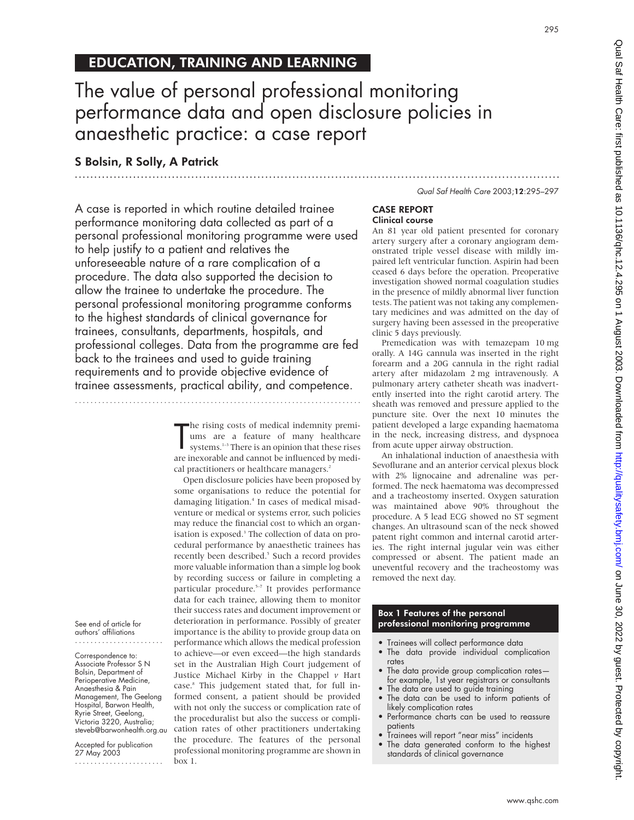# 295

# EDUCATION, TRAINING AND LEARNING

# The value of personal professional monitoring performance data and open disclosure policies in anaesthetic practice: a case report

.............................................................................................................................

# S Bolsin, R Solly, A Patrick

A case is reported in which routine detailed trainee performance monitoring data collected as part of a personal professional monitoring programme were used to help justify to a patient and relatives the unforeseeable nature of a rare complication of a procedure. The data also supported the decision to allow the trainee to undertake the procedure. The personal professional monitoring programme conforms to the highest standards of clinical governance for trainees, consultants, departments, hospitals, and professional colleges. Data from the programme are fed back to the trainees and used to guide training requirements and to provide objective evidence of trainee assessments, practical ability, and competence.

#### T he rising costs of medical indemnity premiums are a feature of many healthcare systems. $^{\mathrm{1-3}}$  There is an opinion that these rises are inexorable and cannot be influenced by medical practitioners or healthcare managers.<sup>2</sup>

Open disclosure policies have been proposed by some organisations to reduce the potential for damaging litigation.<sup>4</sup> In cases of medical misadventure or medical or systems error, such policies may reduce the financial cost to which an organisation is exposed.<sup>3</sup> The collection of data on procedural performance by anaesthetic trainees has recently been described.<sup>5</sup> Such a record provides more valuable information than a simple log book by recording success or failure in completing a particular procedure.<sup>5-7</sup> It provides performance data for each trainee, allowing them to monitor their success rates and document improvement or deterioration in performance. Possibly of greater importance is the ability to provide group data on performance which allows the medical profession to achieve—or even exceed—the high standards set in the Australian High Court judgement of Justice Michael Kirby in the Chappel *v* Hart case.8 This judgement stated that, for full informed consent, a patient should be provided with not only the success or complication rate of the proceduralist but also the success or complication rates of other practitioners undertaking the procedure. The features of the personal professional monitoring programme are shown in box 1.

#### Qual Saf Health Care 2003;12:295–297

# CASE REPORT Clinical course

An 81 year old patient presented for coronary artery surgery after a coronary angiogram demonstrated triple vessel disease with mildly impaired left ventricular function. Aspirin had been ceased 6 days before the operation. Preoperative investigation showed normal coagulation studies in the presence of mildly abnormal liver function tests. The patient was not taking any complementary medicines and was admitted on the day of surgery having been assessed in the preoperative clinic 5 days previously.

Premedication was with temazepam 10 mg orally. A 14G cannula was inserted in the right forearm and a 20G cannula in the right radial artery after midazolam 2 mg intravenously. A pulmonary artery catheter sheath was inadvertently inserted into the right carotid artery. The sheath was removed and pressure applied to the puncture site. Over the next 10 minutes the patient developed a large expanding haematoma in the neck, increasing distress, and dyspnoea from acute upper airway obstruction.

An inhalational induction of anaesthesia with Sevoflurane and an anterior cervical plexus block with 2% lignocaine and adrenaline was performed. The neck haematoma was decompressed and a tracheostomy inserted. Oxygen saturation was maintained above 90% throughout the procedure. A 5 lead ECG showed no ST segment changes. An ultrasound scan of the neck showed patent right common and internal carotid arteries. The right internal jugular vein was either compressed or absent. The patient made an uneventful recovery and the tracheostomy was removed the next day.

# Box 1 Features of the personal professional monitoring programme

- Trainees will collect performance data
- The data provide individual complication rates
- The data provide group complication rates for example, 1st year registrars or consultants
- The data are used to guide training
- The data can be used to inform patients of likely complication rates
- Performance charts can be used to reassure patients
- Trainees will report "near miss" incidents
- The data generated conform to the highest standards of clinical governance

See end of article for authors' affiliations .......................

Correspondence to: Associate Professor S N Bolsin, Department of Perioperative Medicine, Anaesthesia & Pain Management, The Geelong Hospital, Barwon Health, Ryrie Street, Geelong, Victoria 3220, Australia; steveb@barwonhealth.org.au

Accepted for publication 27 May 2003

.......................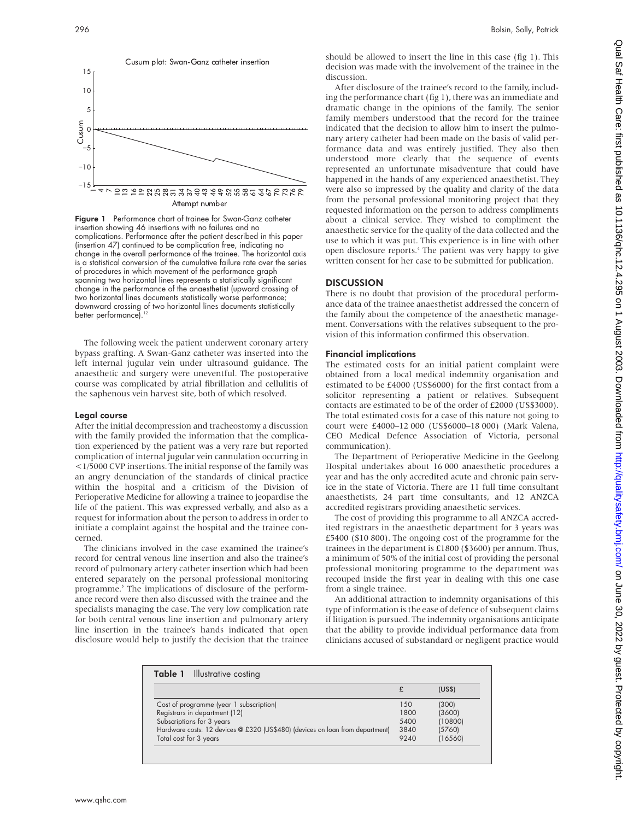

Figure 1 Performance chart of trainee for Swan-Ganz catheter insertion showing 46 insertions with no failures and no complications. Performance after the patient described in this paper (insertion 47) continued to be complication free, indicating no change in the overall performance of the trainee. The horizontal axis is a statistical conversion of the cumulative failure rate over the series of procedures in which movement of the performance graph spanning two horizontal lines represents a statistically significant change in the performance of the anaesthetist (upward crossing of two horizontal lines documents statistically worse performance; downward crossing of two horizontal lines documents statistically<br>hotter performance)  $\frac{12}{6}$ better performance).

The following week the patient underwent coronary artery bypass grafting. A Swan-Ganz catheter was inserted into the left internal jugular vein under ultrasound guidance. The anaesthetic and surgery were uneventful. The postoperative course was complicated by atrial fibrillation and cellulitis of the saphenous vein harvest site, both of which resolved.

## Legal course

After the initial decompression and tracheostomy a discussion with the family provided the information that the complication experienced by the patient was a very rare but reported complication of internal jugular vein cannulation occurring in <1/5000 CVP insertions. The initial response of the family was an angry denunciation of the standards of clinical practice within the hospital and a criticism of the Division of Perioperative Medicine for allowing a trainee to jeopardise the life of the patient. This was expressed verbally, and also as a request for information about the person to address in order to initiate a complaint against the hospital and the trainee concerned.

The clinicians involved in the case examined the trainee's record for central venous line insertion and also the trainee's record of pulmonary artery catheter insertion which had been entered separately on the personal professional monitoring programme.<sup>5</sup> The implications of disclosure of the performance record were then also discussed with the trainee and the specialists managing the case. The very low complication rate for both central venous line insertion and pulmonary artery line insertion in the trainee's hands indicated that open disclosure would help to justify the decision that the trainee

should be allowed to insert the line in this case (fig 1). This decision was made with the involvement of the trainee in the discussion.

After disclosure of the trainee's record to the family, including the performance chart (fig 1), there was an immediate and dramatic change in the opinions of the family. The senior family members understood that the record for the trainee indicated that the decision to allow him to insert the pulmonary artery catheter had been made on the basis of valid performance data and was entirely justified. They also then understood more clearly that the sequence of events represented an unfortunate misadventure that could have happened in the hands of any experienced anaesthetist. They were also so impressed by the quality and clarity of the data from the personal professional monitoring project that they requested information on the person to address compliments about a clinical service. They wished to compliment the anaesthetic service for the quality of the data collected and the use to which it was put. This experience is in line with other open disclosure reports.<sup>4</sup> The patient was very happy to give written consent for her case to be submitted for publication.

# **DISCUSSION**

There is no doubt that provision of the procedural performance data of the trainee anaesthetist addressed the concern of the family about the competence of the anaesthetic management. Conversations with the relatives subsequent to the provision of this information confirmed this observation.

# Financial implications

The estimated costs for an initial patient complaint were obtained from a local medical indemnity organisation and estimated to be £4000 (US\$6000) for the first contact from a solicitor representing a patient or relatives. Subsequent contacts are estimated to be of the order of £2000 (US\$3000). The total estimated costs for a case of this nature not going to court were £4000–12 000 (US\$6000–18 000) (Mark Valena, CEO Medical Defence Association of Victoria, personal communication).

The Department of Perioperative Medicine in the Geelong Hospital undertakes about 16 000 anaesthetic procedures a year and has the only accredited acute and chronic pain service in the state of Victoria. There are 11 full time consultant anaesthetists, 24 part time consultants, and 12 ANZCA accredited registrars providing anaesthetic services.

The cost of providing this programme to all ANZCA accredited registrars in the anaesthetic department for 3 years was £5400 (\$10 800). The ongoing cost of the programme for the trainees in the department is £1800 (\$3600) per annum. Thus, a minimum of 50% of the initial cost of providing the personal professional monitoring programme to the department was recouped inside the first year in dealing with this one case from a single trainee.

An additional attraction to indemnity organisations of this type of information is the ease of defence of subsequent claims if litigation is pursued. The indemnity organisations anticipate that the ability to provide individual performance data from clinicians accused of substandard or negligent practice would

| <b>Table 1</b> Illustrative costing                                           |      |         |
|-------------------------------------------------------------------------------|------|---------|
|                                                                               |      | (USS)   |
| Cost of programme (year 1 subscription)                                       | 1.50 | (300)   |
| Registrars in department (12)                                                 | 1800 | (3600)  |
| Subscriptions for 3 years                                                     | 5400 | (10800) |
| Hardware costs: 12 devices @ £320 (US\$480) (devices on loan from department) | 3840 | (5760)  |
| Total cost for 3 years                                                        | 9240 | (16560) |